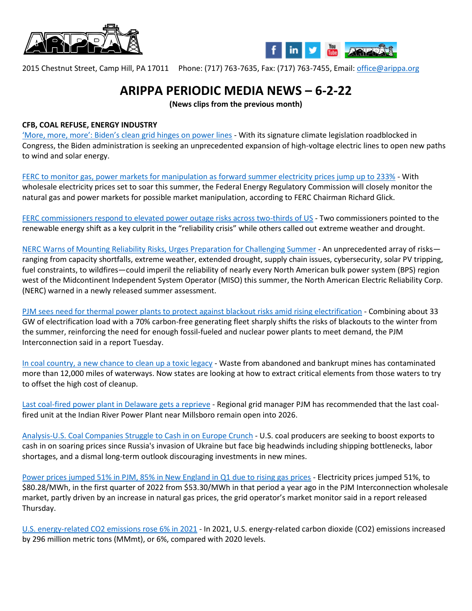



2015 Chestnut Street, Camp Hill, PA 17011 Phone: (717) 763-7635, Fax: (717) 763-7455, Email: [office@arippa.org](mailto:office@arippa.org)

## **ARIPPA PERIODIC MEDIA NEWS – 6-2-22**

**(News clips from the previous month)**

## **CFB, COAL REFUSE, ENERGY INDUSTRY**

['More, more, more': Biden's clean grid hinges on power lines](https://www.eenews.net/articles/more-more-more-bidens-clean-grid-hinges-on-power-lines/?utm_source=Sailthru&utm_medium=email&utm_campaign=Issue:%202022-05-23%20Utility%20Dive%20Newsletter%20%5Bissue:41936%5D&utm_term=Utility%20Dive) - With its signature climate legislation roadblocked in Congress, the Biden administration is seeking an unprecedented expansion of high-voltage electric lines to open new paths to wind and solar energy.

[FERC to monitor gas, power markets for manipulation as forward summer electricity prices jump up to 233%](https://www.utilitydive.com/news/ferc-gas-power-electricity-markets-prices-manipulation-/624120/?utm_source=Sailthru&utm_medium=email&utm_campaign=Issue:%202022-05-20%20Utility%20Dive%20Newsletter%20%5Bissue:41903%5D&utm_term=Utility%20Dive) - With wholesale electricity prices set to soar this summer, the Federal Energy Regulatory Commission will closely monitor the natural gas and power markets for possible market manipulation, according to FERC Chairman Richard Glick.

[FERC commissioners respond to elevated power outage risks across two-thirds of US](https://www.utilitydive.com/news/ferc-nerc-power-outage-risks-summer-drought/624111/?utm_source=Sailthru&utm_medium=email&utm_campaign=Issue:%202022-05-20%20Utility%20Dive%20Newsletter%20%5Bissue:41903%5D&utm_term=Utility%20Dive) - Two commissioners pointed to the renewable energy shift as a key culprit in the "reliability crisis" while others called out extreme weather and drought.

[NERC Warns of Mounting Reliability Risks, Urges Preparation for Challenging Summer](https://www.powermag.com/nerc-warns-of-mounting-reliability-risks-urges-preparation-for-challenging-summer/?oly_enc_id=2137F8728701I8W) - An unprecedented array of risks ranging from capacity shortfalls, extreme weather, extended drought, supply chain issues, cybersecurity, solar PV tripping, fuel constraints, to wildfires—could imperil the reliability of nearly every North American bulk power system (BPS) region west of the Midcontinent Independent System Operator (MISO) this summer, the North American Electric Reliability Corp. (NERC) warned in a newly released summer assessment.

[PJM sees need for thermal power plants to protect against blackout risks amid rising electrification](https://www.utilitydive.com/news/pjm-power-plants-blackout-risks-transition-report/624031/?utm_source=Sailthru&utm_medium=email&utm_campaign=Issue:%202022-05-19%20Utility%20Dive%20Newsletter%20%5Bissue:41870%5D&utm_term=Utility%20Dive) - Combining about 33 GW of electrification load with a 70% carbon-free generating fleet sharply shifts the risks of blackouts to the winter from the summer, reinforcing the need for enough fossil-fueled and nuclear power plants to meet demand, the PJM Interconnection said in a report Tuesday.

[In coal country, a new chance to clean up a toxic legacy](https://www.washingtonpost.com/climate-solutions/2022/05/19/coal-mining-waste-recycling/?utm_medium=email&utm_source=newsletter&utm_campaign=wp_energy_and_environment&wpisrc=nl_green) - Waste from abandoned and bankrupt mines has contaminated more than 12,000 miles of waterways. Now states are looking at how to extract critical elements from those waters to try to offset the high cost of cleanup.

[Last coal-fired power plant in Delaware gets a reprieve](https://delawarebusinessnow.com/2022/05/last-coal-fired-power-plant-in-delaware-gets-a-reprieve/?fbclid=IwAR0sB0oqwfBEt1wV3FhUrndPHyW4XwNja_UyZxMDTCQcAHP5R9l0fnoLELM) - Regional grid manager PJM has recommended that the last coalfired unit at the Indian River Power Plant near Millsboro remain open into 2026.

[Analysis-U.S. Coal Companies Struggle to Cash in on Europe Crunch](https://money.usnews.com/investing/news/articles/2022-05-17/analysis-u-s-coal-companies-struggle-to-cash-in-on-europe-crunch) - U.S. coal producers are seeking to boost exports to cash in on soaring prices since Russia's invasion of Ukraine but face big headwinds including shipping bottlenecks, labor shortages, and a dismal long-term outlook discouraging investments in new mines.

[Power prices jumped 51% in PJM, 85% in New England in Q1 due to rising gas prices](https://www.utilitydive.com/news/power-electricity-prices-pjm-new-england-gs-lng/623724/?utm_source=Sailthru&utm_medium=email&utm_campaign=Issue:%202022-05-13%20Utility%20Dive%20Newsletter%20%5Bissue:41737%5D&utm_term=Utility%20Dive) - Electricity prices jumped 51%, to \$80.28/MWh, in the first quarter of 2022 from \$53.30/MWh in that period a year ago in the PJM Interconnection wholesale market, partly driven by an increase in natural gas prices, the grid operator's market monitor said in a report released Thursday.

[U.S. energy-related CO2 emissions rose 6% in 2021](https://www.eia.gov/todayinenergy/detail.php?id=52380&src=email) - In 2021, U.S. energy-related carbon dioxide (CO2) emissions increased by 296 million metric tons (MMmt), or 6%, compared with 2020 levels.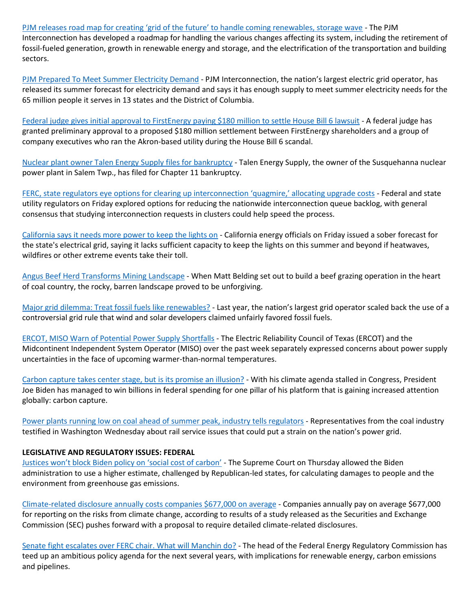PJM releases roa[d map for creating 'grid of the future' to handle coming renewables, storage wave](https://www.utilitydive.com/news/pjm-grid-future-report-energy-transition/623630/?utm_source=Sailthru&utm_medium=email&utm_campaign=Issue:%202022-05-12%20Utility%20Dive%20Newsletter%20%5Bissue:41707%5D&utm_term=Utility%20Dive) - The PJM Interconnection has developed a roadmap for handling the various changes affecting its system, including the retirement of fossil-fueled generation, growth in renewable energy and storage, and the electrification of the transportation and building sectors.

[PJM Prepared To Meet Summer Electricity Demand](https://insidelines.pjm.com/pjm-prepared-to-meet-summer-electricity-demand/) - PJM Interconnection, the nation's largest electric grid operator, has released its summer forecast for electricity demand and says it has enough supply to meet summer electricity needs for the 65 million people it serves in 13 states and the District of Columbia.

[Federal judge gives initial approval to FirstEnergy paying \\$180 million to settle House Bill 6 lawsuit](https://www.cleveland.com/news/2022/05/federal-judge-gives-initial-approval-to-180-million-settlement-in-house-bill-6-case.html?utm_source=Sailthru&utm_medium=email&utm_campaign=Issue:%202022-05-11%20Utility%20Dive%20Newsletter%20%5Bissue:41671%5D&utm_term=Utility%20Dive) - A federal judge has granted preliminary approval to a proposed \$180 million settlement between FirstEnergy shareholders and a group of company executives who ran the Akron-based utility during the House Bill 6 scandal.

[Nuclear plant owner Talen Energy Supply files for bankruptcy](https://www.standardspeaker.com/news/business/nuclear-plant-owner-talen-energy-supply-files-for-bankruptcy/article_4c254e22-e091-5c58-956d-a3660e691de3.html) - Talen Energy Supply, the owner of the Susquehanna nuclear power plant in Salem Twp., has filed for Chapter 11 bankruptcy.

[FERC, state regulators eye options for clearing up interconn](https://www.utilitydive.com/news/ferc-state-naruc-interconnection-queue-allocation-upgrades/623394/?utm_source=Sailthru&utm_medium=email&utm_campaign=Issue:%202022-05-09%20Utility%20Dive%20Newsletter%20%5Bissue:41604%5D&utm_term=Utility%20Dive)ection 'quagmire,' allocating upgrade costs - Federal and state utility regulators on Friday explored options for reducing the nationwide interconnection queue backlog, with general consensus that studying interconnection requests in clusters could help speed the process.

[California says it needs more power to keep the lights on](https://www.reuters.com/world/us/california-says-it-needs-more-power-keep-lights-2022-05-06/) - California energy officials on Friday issued a sober forecast for the state's electrical grid, saying it lacks sufficient capacity to keep the lights on this summer and beyond if heatwaves, wildfires or other extreme events take their toll.

[Angus Beef Herd Transforms Mining Landscape](https://www.lancasterfarming.com/farming/beef/angus-beef-herd-transforms-mining-landscape/article_2c7d4c21-8bc7-552e-b20b-bf72f55dae93.html?utm_medium=social&utm_source=facebook&utm_campaign=user-share&fbclid=IwAR1ugeCeAmG_XZX0thyxJs9dqGQbxKP-8kgZXZmNedMwwvDzqY4mh03LVSc) - When Matt Belding set out to build a beef grazing operation in the heart of coal country, the rocky, barren landscape proved to be unforgiving.

[Major grid dilemma: Treat fossil fuels like renewables?](https://www.eenews.net/articles/major-grid-dilemma-treat-fossil-fuels-like-renewables/) - Last year, the nation's largest grid operator scaled back the use of a controversial grid rule that wind and solar developers claimed unfairly favored fossil fuels.

[ERCOT, MISO Warn of Potential Power Supply Shortfalls](https://www.powermag.com/ercot-miso-warn-of-potential-power-supply-shortfalls/?oly_enc_id=2137F8728701I8W) - The Electric Reliability Council of Texas (ERCOT) and the Midcontinent Independent System Operator (MISO) over the past week separately expressed concerns about power supply uncertainties in the face of upcoming warmer-than-normal temperatures.

[Carbon capture takes center stage, but](https://www.post-gazette.com/business/powersource/2022/05/02/carbon-capture-takes-center-stage-but-is-its-promise-an-illusion/stories/202205010024?utm_source=newsletter&utm_medium=email&utm_content=editors-picks-business&utm_campaign=Headlines-Newsletter) is its promise an illusion? - With his climate agenda stalled in Congress, President Joe Biden has managed to win billions in federal spending for one pillar of his platform that is gaining increased attention globally: carbon capture.

[Power plants running low on coal ahead of summer peak, industry tells regulators](https://www.wvnews.com/news/wvnews/power-plants-running-low-on-coal-ahead-of-summer-peak-industry-tells-regulators/article_43970712-c7f1-11ec-ae7d-4bb738fc3f10.html) - Representatives from the coal industry testified in Washington Wednesday about rail service issues that could put a strain on the nation's power grid.

## **LEGISLATIVE AND REGULATORY ISSUES: FEDERAL**

[Justices won't block Biden policy on 'social cost of carbon'](https://apnews.com/article/climate-us-supreme-court-government-and-politics-environment-efa3b0047998c18b21f7a61e32ab0e47) - The Supreme Court on Thursday allowed the Biden administration to use a higher estimate, challenged by Republican-led states, for calculating damages to people and the environment from greenhouse gas emissions.

[Climate-related disclosure annually costs companies \\$677,000 on average](https://www.utilitydive.com/news/climate-related-disclosure-annually-costs-companies-677000-dollars/624445/?utm_source=Sailthru&utm_medium=email&utm_campaign=Issue:%202022-05-26%20Utility%20Dive%20Newsletter%20%5Bissue:42032%5D&utm_term=Utility%20Dive) - Companies annually pay on average \$677,000 for reporting on the risks from climate change, according to results of a study released as the Securities and Exchange Commission (SEC) pushes forward with a proposal to require detailed climate-related disclosures.

[Senate fight escalates over FERC chair. What will Manchin do?](https://www.eenews.net/articles/senate-fight-escalates-over-ferc-chair-what-will-manchin-do/?utm_medium=email&utm_source=Sailthru&utm_campaign=Issue:%202022-05-25%20Utility%20Dive%20Newsletter%20%5Bissue:42000%5D&utm_term=Utility%20Dive) - The head of the Federal Energy Regulatory Commission has teed up an ambitious policy agenda for the next several years, with implications for renewable energy, carbon emissions and pipelines.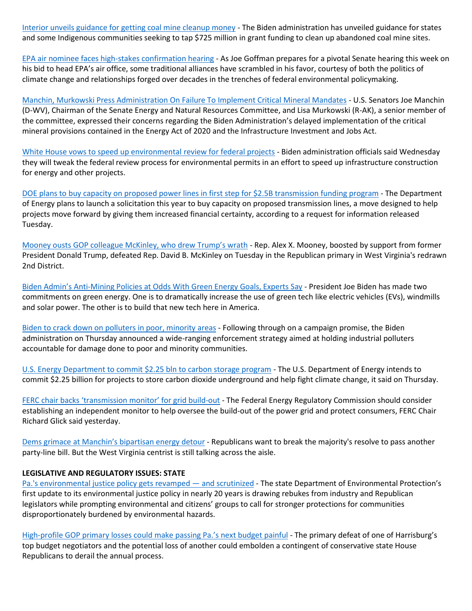[Interior unveils guidance for getting coal mine cleanup money](https://www.eenews.net/articles/interior-unveils-guidance-for-getting-coal-mine-cleanup-money/) - The Biden administration has unveiled guidance for states and some Indigenous communities seeking to tap \$725 million in grant funding to clean up abandoned coal mine sites.

[EPA air nominee faces high-stakes confirmation hearing](https://www.eenews.net/articles/epa-air-nominee-faces-high-stakes-confirmation-hearing/) - As Joe Goffman prepares for a pivotal Senate hearing this week on his bid to head EPA's air office, some traditional alliances have scrambled in his favor, courtesy of both the politics of climate change and relationships forged over decades in the trenches of federal environmental policymaking.

[Manchin, Murkowski Press Administration On Failure To Implement Critical Mineral Mandates](https://www.energy.senate.gov/2022/5/manchin-murkowski-press-administration-on-failure-to-implement-critical-mineral-mandates) - U.S. Senators Joe Manchin (D-WV), Chairman of the Senate Energy and Natural Resources Committee, and Lisa Murkowski (R-AK), a senior member of the committee, expressed their concerns regarding the Biden Administration's delayed implementation of the critical mineral provisions contained in the Energy Act of 2020 and the Infrastructure Investment and Jobs Act.

[White House vows to speed up environmental review for federal projects](https://www.utilitydive.com/news/white-house-biden-action-plan-environmental-review-federal-projects/623656/?utm_source=Sailthru&utm_medium=email&utm_campaign=Issue:%202022-05-12%20Utility%20Dive%20Newsletter%20%5Bissue:41707%5D&utm_term=Utility%20Dive) - Biden administration officials said Wednesday they will tweak the federal review process for environmental permits in an effort to speed up infrastructure construction for energy and other projects.

[DOE plans to buy capacity on proposed power lines in first step for \\$2.5B transmission funding program](https://www.utilitydive.com/news/doe-capacity-transmission-power-lines-fund-infrastructure-loans/623546/?utm_source=Sailthru&utm_medium=email&utm_campaign=Issue:%202022-05-11%20Utility%20Dive%20Newsletter%20%5Bissue:41671%5D&utm_term=Utility%20Dive) - The Department of Energy plans to launch a solicitation this year to buy capacity on proposed transmission lines, a move designed to help projects move forward by giving them increased financial certainty, according to a request for information released Tuesday.

[Mooney ousts GOP colleague McKinley, who drew Trump's wrath](https://rollcall.com/2022/05/10/mooney-ousts-gop-colleague-mckinley-who-drew-trumps-wrath/) - Rep. Alex X. Mooney, boosted by support from former President Donald Trump, defeated Rep. David B. McKinley on Tuesday in the Republican primary in West Virginia's redrawn 2nd District.

Biden Admin's [Anti-Mining Policies at Odds With Green Energy Goals, Experts Say](https://insidesources.com/biden-admins-anti-mining-policies-at-odds-with-green-energy-goals-experts-say/) - President Joe Biden has made two commitments on green energy. One is to dramatically increase the use of green tech like electric vehicles (EVs), windmills and solar power. The other is to build that new tech here in America.

[Biden to crack down on polluters in poor, minority areas](https://apnews.com/article/biden-business-environment-pollution-c1925b8e1af94973c7e230410e097549) - Following through on a campaign promise, the Biden administration on Thursday announced a wide-ranging enforcement strategy aimed at holding industrial polluters accountable for damage done to poor and minority communities.

[U.S. Energy Department to commit \\$2.25 bln to carbon storage program](https://www.reuters.com/business/environment/us-energy-department-commit-225-bln-carbon-storage-program-2022-05-05/) - The U.S. Department of Energy intends to commit \$2.25 billion for projects to store carbon dioxide underground and help fight climate change, it said on Thursday.

[FERC chair backs 'transmission monitor' f](https://www.eenews.net/articles/ferc-chair-backs-transmission-monitor-for-grid-build-out/)or grid build-out - The Federal Energy Regulatory Commission should consider establishing an independent monitor to help oversee the build-out of the power grid and protect consumers, FERC Chair Richard Glick said yesterday.

Dems grimace [at Manchin's bipartisan energy detour](https://www.politico.com/news/2022/05/02/democrats-manchin-bipartisan-energy-00028966?utm_source=Sailthru&utm_medium=email&utm_campaign=Issue:%202022-05-02%20Utility%20Dive%20Newsletter%20%5Bissue:41433%5D&utm_term=Utility%20Dive) - Republicans want to break the majority's resolve to pass another party-line bill. But the West Virginia centrist is still talking across the aisle.

## **LEGISLATIVE AND REGULATORY ISSUES: STATE**

[Pa.'s environmental justice policy gets revamped](https://www.post-gazette.com/business/powersource/2022/05/25/pennsylvania-dep-environmental-justice-policy-permit-shale-fracking-industry-low-income-communities-hazards-pollution-health-climate-development/stories/202205250137) — and scrutinized - The state Department of Environmental Protection's first update to its environmental justice policy in nearly 20 years is drawing rebukes from industry and Republican legislators while prompting environmental and citizens' groups to call for stronger protections for communities disproportionately burdened by environmental hazards.

[High-profile GOP primary losses could make pas](https://www.spotlightpa.org/news/2022/05/pa-primary-election-results-budget-impasse/)sing Pa.'s next budget painful - The primary defeat of one of Harrisburg's top budget negotiators and the potential loss of another could embolden a contingent of conservative state House Republicans to derail the annual process.